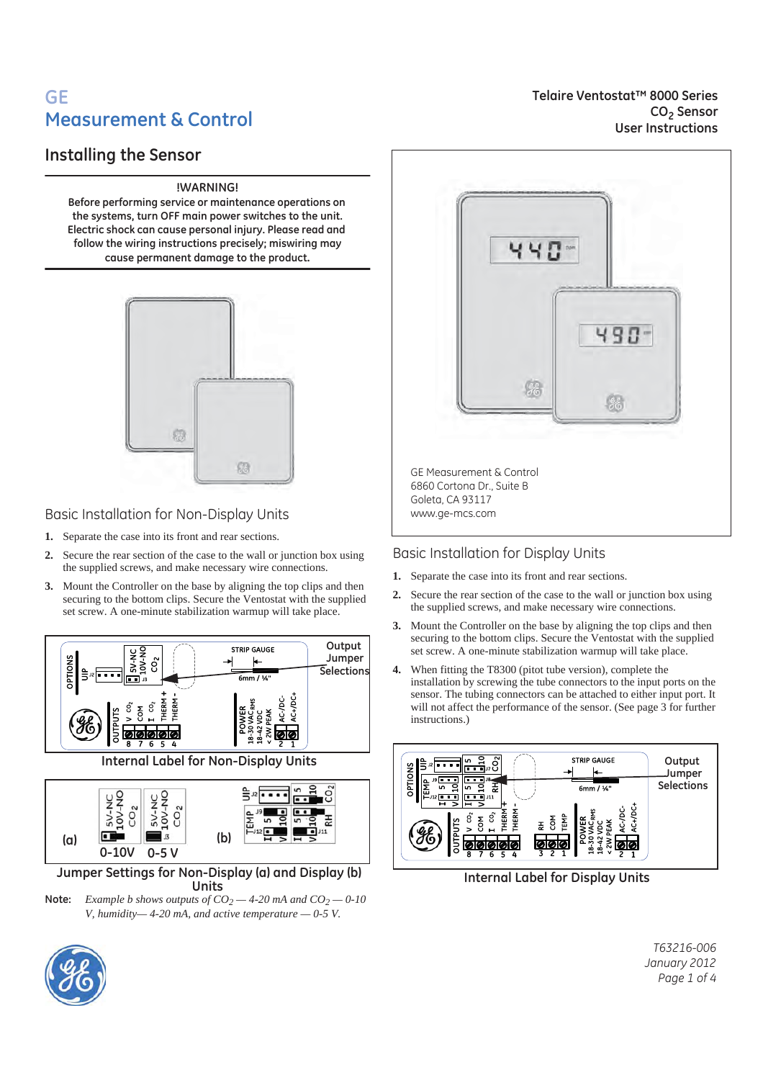# **GE Measurement & Control**

## **Installing the Sensor**

#### **!WARNING!**

**Before performing service or maintenance operations on the systems, turn OFF main power switches to the unit. Electric shock can cause personal injury. Please read and follow the wiring instructions precisely; miswiring may cause permanent damage to the product.**



Basic Installation for Non-Display Units

- **1.** Separate the case into its front and rear sections.
- **2.** Secure the rear section of the case to the wall or junction box using the supplied screws, and make necessary wire connections.
- **3.** Mount the Controller on the base by aligning the top clips and then securing to the bottom clips. Secure the Ventostat with the supplied set screw. A one-minute stabilization warmup will take place.



49 M 综 GE Measurement & Control 6860 Cortona Dr., Suite B Goleta, CA 93117 www.ge-mcs.com

Basic Installation for Display Units

- **1.** Separate the case into its front and rear sections.
- **2.** Secure the rear section of the case to the wall or junction box using the supplied screws, and make necessary wire connections.
- **3.** Mount the Controller on the base by aligning the top clips and then securing to the bottom clips. Secure the Ventostat with the supplied set screw. A one-minute stabilization warmup will take place.
- **4.** When fitting the T8300 (pitot tube version), complete the installation by screwing the tube connectors to the input ports on the sensor. The tubing connectors can be attached to either input port. It will not affect the performance of the sensor. (See page 3 for further instructions.)



 **Internal Label for Display Units**

*T63216-006 January 2012 Page 1 of 4*



**Telaire Ventostat™ 8000 Series CO2 Sensor User Instructions**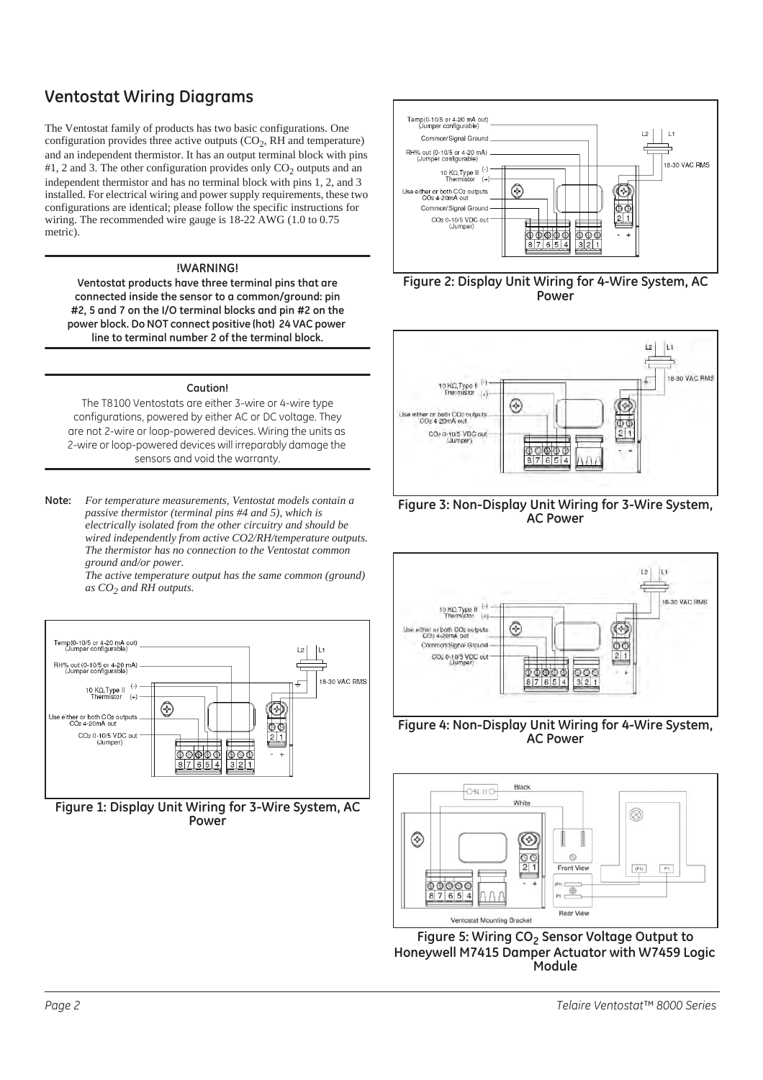# **Ventostat Wiring Diagrams**

The Ventostat family of products has two basic configurations. One configuration provides three active outputs  $(CO<sub>2</sub>, RH$  and temperature) and an independent thermistor. It has an output terminal block with pins #1, 2 and 3. The other configuration provides only  $CO<sub>2</sub>$  outputs and an independent thermistor and has no terminal block with pins 1, 2, and 3 installed. For electrical wiring and power supply requirements, these two configurations are identical; please follow the specific instructions for wiring. The recommended wire gauge is 18-22 AWG (1.0 to 0.75) metric).

#### **!WARNING!**

**Ventostat products have three terminal pins that are connected inside the sensor to a common/ground: pin #2, 5 and 7 on the I/O terminal blocks and pin #2 on the power block. Do NOT connect positive (hot) 24 VAC power line to terminal number 2 of the terminal block.**

#### **Caution!**

The T8100 Ventostats are either 3-wire or 4-wire type configurations, powered by either AC or DC voltage. They are not 2-wire or loop-powered devices. Wiring the units as 2-wire or loop-powered devices will irreparably damage the sensors and void the warranty.

**Note:** *For temperature measurements, Ventostat models contain a passive thermistor (terminal pins #4 and 5), which is electrically isolated from the other circuitry and should be wired independently from active CO2/RH/temperature outputs. The thermistor has no connection to the Ventostat common ground and/or power.*

*The active temperature output has the same common (ground) as CO2 and RH outputs.*



**Figure 1: Display Unit Wiring for 3-Wire System, AC Power**











**Figure 4: Non-Display Unit Wiring for 4-Wire System, AC Power**



Figure 5: Wiring CO<sub>2</sub> Sensor Voltage Output to **Honeywell M7415 Damper Actuator with W7459 Logic Module**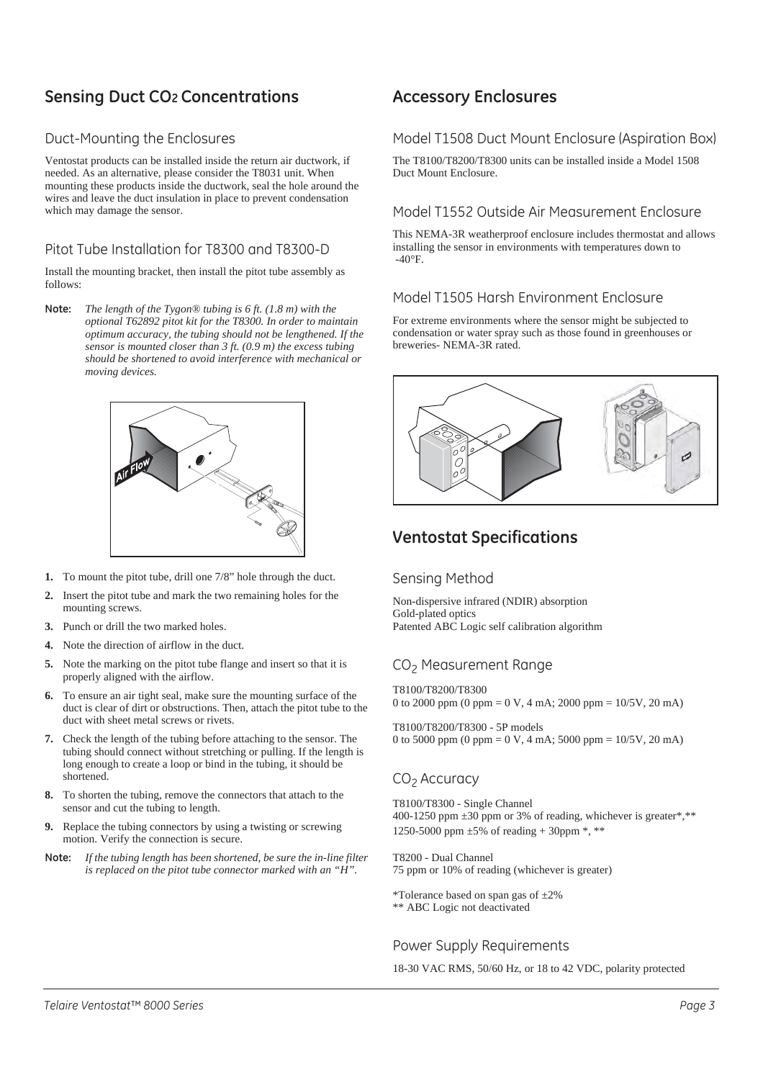# **Sensing Duct CO2 Concentrations**

### Duct-Mounting the Enclosures

Ventostat products can be installed inside the return air ductwork, if needed. As an alternative, please consider the T8031 unit. When mounting these products inside the ductwork, seal the hole around the wires and leave the duct insulation in place to prevent condensation which may damage the sensor.

## Pitot Tube Installation for T8300 and T8300-D

Install the mounting bracket, then install the pitot tube assembly as follows:

**Note:** *The length of the Tygon® tubing is 6 ft. (1.8 m) with the optional T62892 pitot kit for the T8300. In order to maintain optimum accuracy, the tubing should not be lengthened. If the sensor is mounted closer than 3 ft. (0.9 m) the excess tubing should be shortened to avoid interference with mechanical or moving devices.*



- **1.** To mount the pitot tube, drill one 7/8" hole through the duct.
- **2.** Insert the pitot tube and mark the two remaining holes for the mounting screws.
- **3.** Punch or drill the two marked holes.
- **4.** Note the direction of airflow in the duct.
- **5.** Note the marking on the pitot tube flange and insert so that it is properly aligned with the airflow.
- **6.** To ensure an air tight seal, make sure the mounting surface of the duct is clear of dirt or obstructions. Then, attach the pitot tube to the duct with sheet metal screws or rivets.
- **7.** Check the length of the tubing before attaching to the sensor. The tubing should connect without stretching or pulling. If the length is long enough to create a loop or bind in the tubing, it should be shortened.
- **8.** To shorten the tubing, remove the connectors that attach to the sensor and cut the tubing to length.
- **9.** Replace the tubing connectors by using a twisting or screwing motion. Verify the connection is secure.
- **Note:** *If the tubing length has been shortened, be sure the in-line filter is replaced on the pitot tube connector marked with an "H".*

## **Accessory Enclosures**

#### Model T1508 Duct Mount Enclosure (Aspiration Box)

The T8100/T8200/T8300 units can be installed inside a Model 1508 Duct Mount Enclosure.

#### Model T1552 Outside Air Measurement Enclosure

This NEMA-3R weatherproof enclosure includes thermostat and allows installing the sensor in environments with temperatures down to  $-40^{\circ}$ F.

### Model T1505 Harsh Environment Enclosure

For extreme environments where the sensor might be subjected to condensation or water spray such as those found in greenhouses or breweries- NEMA-3R rated.



## **Ventostat Specifications**

#### Sensing Method

Non-dispersive infrared (NDIR) absorption Gold-plated optics Patented ABC Logic self calibration algorithm

## CO<sub>2</sub> Measurement Range

T8100/T8200/T8300 0 to 2000 ppm (0 ppm = 0 V, 4 mA; 2000 ppm =  $10/5$ V, 20 mA)

T8100/T8200/T8300 - 5P models 0 to 5000 ppm (0 ppm = 0 V, 4 mA; 5000 ppm =  $10/5$ V, 20 mA)

### CO<sub>2</sub> Accuracy

T8100/T8300 - Single Channel 400-1250 ppm  $\pm 30$  ppm or 3% of reading, whichever is greater\*,\*\* 1250-5000 ppm  $\pm 5\%$  of reading + 30ppm  $*$ ,  $**$ 

T8200 - Dual Channel 75 ppm or 10% of reading (whichever is greater)

\*Tolerance based on span gas of ±2% \*\* ABC Logic not deactivated

### Power Supply Requirements

18-30 VAC RMS, 50/60 Hz, or 18 to 42 VDC, polarity protected